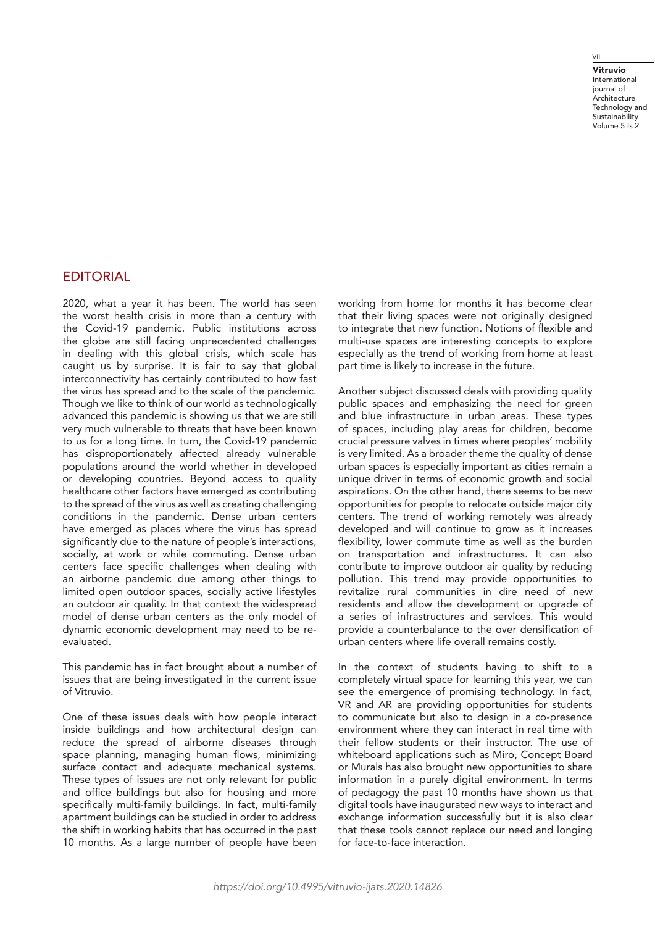## VII

Vitruvio International journal of **Architecture** Technology and **Sustainability** Volume 5 Is 2

## **EDITORIAL**

2020, what a year it has been. The world has seen the worst health crisis in more than a century with the Covid-19 pandemic. Public institutions across the globe are still facing unprecedented challenges in dealing with this global crisis, which scale has caught us by surprise. It is fair to say that global interconnectivity has certainly contributed to how fast the virus has spread and to the scale of the pandemic. Though we like to think of our world as technologically advanced this pandemic is showing us that we are still very much vulnerable to threats that have been known to us for a long time. In turn, the Covid-19 pandemic has disproportionately affected already vulnerable populations around the world whether in developed or developing countries. Beyond access to quality healthcare other factors have emerged as contributing to the spread of the virus as well as creating challenging conditions in the pandemic. Dense urban centers have emerged as places where the virus has spread significantly due to the nature of people's interactions, socially, at work or while commuting. Dense urban centers face specific challenges when dealing with an airborne pandemic due among other things to limited open outdoor spaces, socially active lifestyles an outdoor air quality. In that context the widespread model of dense urban centers as the only model of dynamic economic development may need to be reevaluated.

This pandemic has in fact brought about a number of issues that are being investigated in the current issue of Vitruvio.

One of these issues deals with how people interact inside buildings and how architectural design can reduce the spread of airborne diseases through space planning, managing human flows, minimizing surface contact and adequate mechanical systems. These types of issues are not only relevant for public and office buildings but also for housing and more specifically multi-family buildings. In fact, multi-family apartment buildings can be studied in order to address the shift in working habits that has occurred in the past 10 months. As a large number of people have been

working from home for months it has become clear that their living spaces were not originally designed to integrate that new function. Notions of flexible and multi-use spaces are interesting concepts to explore especially as the trend of working from home at least part time is likely to increase in the future.

Another subject discussed deals with providing quality public spaces and emphasizing the need for green and blue infrastructure in urban areas. These types of spaces, including play areas for children, become crucial pressure valves in times where peoples' mobility is very limited. As a broader theme the quality of dense urban spaces is especially important as cities remain a unique driver in terms of economic growth and social aspirations. On the other hand, there seems to be new opportunities for people to relocate outside major city centers. The trend of working remotely was already developed and will continue to grow as it increases flexibility, lower commute time as well as the burden on transportation and infrastructures. It can also contribute to improve outdoor air quality by reducing pollution. This trend may provide opportunities to revitalize rural communities in dire need of new residents and allow the development or upgrade of a series of infrastructures and services. This would provide a counterbalance to the over densification of urban centers where life overall remains costly.

In the context of students having to shift to a completely virtual space for learning this year, we can see the emergence of promising technology. In fact, VR and AR are providing opportunities for students to communicate but also to design in a co-presence environment where they can interact in real time with their fellow students or their instructor. The use of whiteboard applications such as Miro, Concept Board or Murals has also brought new opportunities to share information in a purely digital environment. In terms of pedagogy the past 10 months have shown us that digital tools have inaugurated new ways to interact and exchange information successfully but it is also clear that these tools cannot replace our need and longing for face-to-face interaction.